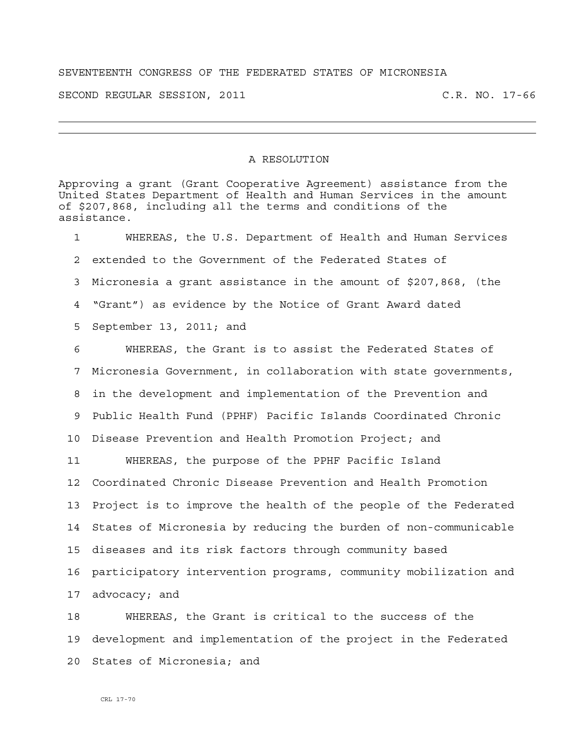## SEVENTEENTH CONGRESS OF THE FEDERATED STATES OF MICRONESIA

SECOND REGULAR SESSION, 2011 C.R. NO. 17-66

## A RESOLUTION

Approving a grant (Grant Cooperative Agreement) assistance from the United States Department of Health and Human Services in the amount of \$207,868, including all the terms and conditions of the assistance.

1 WHEREAS, the U.S. Department of Health and Human Services 2 extended to the Government of the Federated States of 3 Micronesia a grant assistance in the amount of \$207,868, (the 4 "Grant") as evidence by the Notice of Grant Award dated 5 September 13, 2011; and 6 WHEREAS, the Grant is to assist the Federated States of 7 Micronesia Government, in collaboration with state governments, 8 in the development and implementation of the Prevention and 9 Public Health Fund (PPHF) Pacific Islands Coordinated Chronic 10 Disease Prevention and Health Promotion Project; and 11 WHEREAS, the purpose of the PPHF Pacific Island 12 Coordinated Chronic Disease Prevention and Health Promotion 13 Project is to improve the health of the people of the Federated 14 States of Micronesia by reducing the burden of non-communicable 15 diseases and its risk factors through community based 16 participatory intervention programs, community mobilization and 17 advocacy; and 18 WHEREAS, the Grant is critical to the success of the

19 development and implementation of the project in the Federated 20 States of Micronesia; and